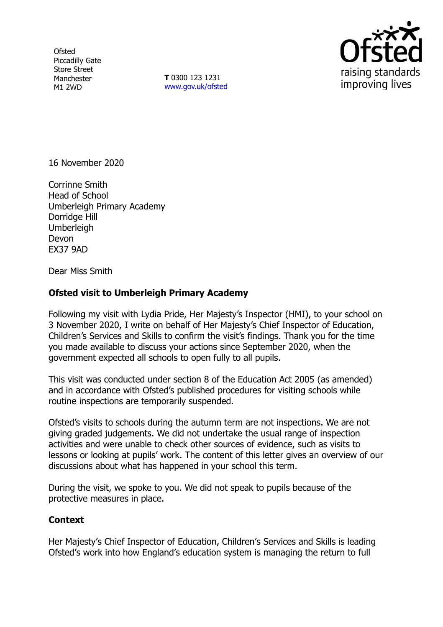**Ofsted** Piccadilly Gate Store Street Manchester M1 2WD

**T** 0300 123 1231 [www.gov.uk/ofsted](http://www.gov.uk/ofsted)



16 November 2020

Corrinne Smith Head of School Umberleigh Primary Academy Dorridge Hill **Umberleigh** Devon EX37 9AD

Dear Miss Smith

## **Ofsted visit to Umberleigh Primary Academy**

Following my visit with Lydia Pride, Her Majesty's Inspector (HMI), to your school on 3 November 2020, I write on behalf of Her Majesty's Chief Inspector of Education, Children's Services and Skills to confirm the visit's findings. Thank you for the time you made available to discuss your actions since September 2020, when the government expected all schools to open fully to all pupils.

This visit was conducted under section 8 of the Education Act 2005 (as amended) and in accordance with Ofsted's published procedures for visiting schools while routine inspections are temporarily suspended.

Ofsted's visits to schools during the autumn term are not inspections. We are not giving graded judgements. We did not undertake the usual range of inspection activities and were unable to check other sources of evidence, such as visits to lessons or looking at pupils' work. The content of this letter gives an overview of our discussions about what has happened in your school this term.

During the visit, we spoke to you. We did not speak to pupils because of the protective measures in place.

## **Context**

Her Majesty's Chief Inspector of Education, Children's Services and Skills is leading Ofsted's work into how England's education system is managing the return to full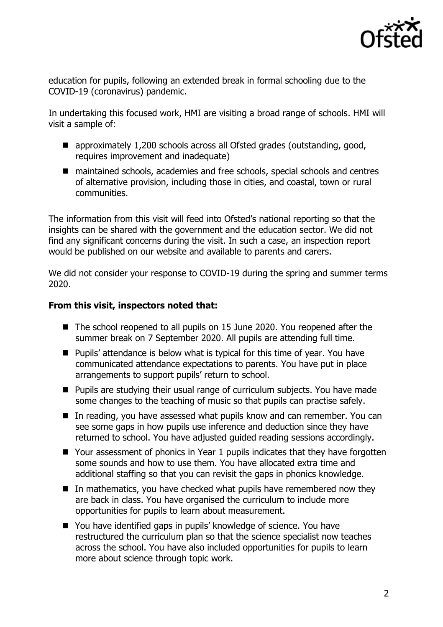

education for pupils, following an extended break in formal schooling due to the COVID-19 (coronavirus) pandemic.

In undertaking this focused work, HMI are visiting a broad range of schools. HMI will visit a sample of:

- approximately 1,200 schools across all Ofsted grades (outstanding, good, requires improvement and inadequate)
- maintained schools, academies and free schools, special schools and centres of alternative provision, including those in cities, and coastal, town or rural communities.

The information from this visit will feed into Ofsted's national reporting so that the insights can be shared with the government and the education sector. We did not find any significant concerns during the visit. In such a case, an inspection report would be published on our website and available to parents and carers.

We did not consider your response to COVID-19 during the spring and summer terms 2020.

## **From this visit, inspectors noted that:**

- The school reopened to all pupils on 15 June 2020. You reopened after the summer break on 7 September 2020. All pupils are attending full time.
- Pupils' attendance is below what is typical for this time of year. You have communicated attendance expectations to parents. You have put in place arrangements to support pupils' return to school.
- **Pupils are studying their usual range of curriculum subjects. You have made** some changes to the teaching of music so that pupils can practise safely.
- In reading, you have assessed what pupils know and can remember. You can see some gaps in how pupils use inference and deduction since they have returned to school. You have adjusted guided reading sessions accordingly.
- Your assessment of phonics in Year 1 pupils indicates that they have forgotten some sounds and how to use them. You have allocated extra time and additional staffing so that you can revisit the gaps in phonics knowledge.
- $\blacksquare$  In mathematics, you have checked what pupils have remembered now they are back in class. You have organised the curriculum to include more opportunities for pupils to learn about measurement.
- You have identified gaps in pupils' knowledge of science. You have restructured the curriculum plan so that the science specialist now teaches across the school. You have also included opportunities for pupils to learn more about science through topic work.